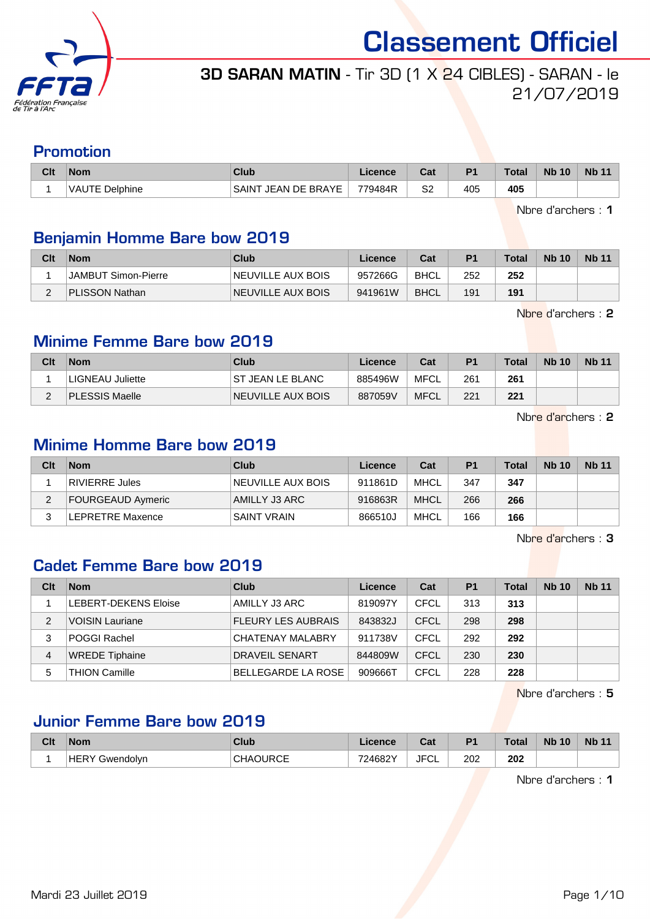

## 3D SARAN MATIN - Tir 3D (1 X 24 CIBLES) - SARAN - le 21/07/2019

## Promotion

| Clt | <b>Nom</b>     | Club                   | .icence | ่ ี่ ี่ ่า ่<br>⊍a | D <sub>1</sub> | <b>Total</b> | <b>Nb 10</b> | <b>Nb 11</b> |
|-----|----------------|------------------------|---------|--------------------|----------------|--------------|--------------|--------------|
|     | VAUTE Delphine | JEAN DE BRAYE<br>SAINT | 779484R | S2                 | 405            | 405          |              |              |

Nbre d'archers : 1

#### Benjamin Homme Bare bow 2019

| Clt | <b>Nom</b>          | Club              | Licence | Cat         | P <sub>1</sub> | Total | <b>Nb 10</b> | <b>Nb 11</b> |
|-----|---------------------|-------------------|---------|-------------|----------------|-------|--------------|--------------|
|     | JAMBUT Simon-Pierre | NEUVILLE AUX BOIS | 957266G | BHCL        | 252            | 252   |              |              |
|     | PLISSON Nathan      | NEUVILLE AUX BOIS | 941961W | <b>BHCL</b> | 191            | 191   |              |              |

Nbre d'archers : 2

#### Minime Femme Bare bow 2019

| Clt | <b>Nom</b>              | Club                     | Licence | Cat         | P <sub>1</sub> | Total | <b>Nb 10</b> | <b>Nb 11</b> |
|-----|-------------------------|--------------------------|---------|-------------|----------------|-------|--------------|--------------|
|     | <b>LIGNEAU Juliette</b> | <b>IST JEAN LE BLANC</b> | 885496W | MFCL        | 261            | 261   |              |              |
|     | PLESSIS Maelle          | <b>NEUVILLE AUX BOIS</b> | 887059V | <b>MFCL</b> | 221            | 221   |              |              |

Nbre d'archers : 2

#### Minime Homme Bare bow 2019

| Clt | <b>Nom</b>        | Club               | Licence | Cat         | P <sub>1</sub> | Total | <b>Nb 10</b> | <b>Nb 11</b> |
|-----|-------------------|--------------------|---------|-------------|----------------|-------|--------------|--------------|
|     | RIVIERRE Jules    | NEUVILLE AUX BOIS  | 911861D | MHCL        | 347            | 347   |              |              |
| າ   | FOURGEAUD Aymeric | AMILLY J3 ARC      | 916863R | <b>MHCL</b> | 266            | 266   |              |              |
|     | LEPRETRE Maxence  | <b>SAINT VRAIN</b> | 866510J | MHCL        | 166            | 166   |              |              |

Nbre d'archers : 3

#### Cadet Femme Bare bow 2019

| Clt | <b>Nom</b>                  | <b>Club</b>               | Licence | Cat  | P <sub>1</sub> | <b>Total</b> | <b>Nb 10</b> | <b>Nb 11</b> |
|-----|-----------------------------|---------------------------|---------|------|----------------|--------------|--------------|--------------|
|     | <b>LEBERT-DEKENS Eloise</b> | AMILLY J3 ARC             | 819097Y | CFCL | 313            | 313          |              |              |
| 2   | <b>VOISIN Lauriane</b>      | <b>FLEURY LES AUBRAIS</b> | 843832J | CFCL | 298            | 298          |              |              |
| 3   | POGGI Rachel                | <b>CHATENAY MALABRY</b>   | 911738V | CFCL | 292            | 292          |              |              |
| 4   | <b>WREDE Tiphaine</b>       | <b>DRAVEIL SENART</b>     | 844809W | CFCL | 230            | 230          |              |              |
| 5   | <b>THION Camille</b>        | <b>BELLEGARDE LA ROSE</b> | 909666T | CFCL | 228            | 228          |              |              |

Nbre d'archers : 5

### Junior Femme Bare bow 2019

| Clt | <b>Nom</b>        | Club      | Licence | ่∩ำง<br>ua | D <sub>1</sub> | <b>Total</b> | <b>Nb 10</b> | <b>Nb</b> |
|-----|-------------------|-----------|---------|------------|----------------|--------------|--------------|-----------|
|     | .HEF<br>Gwendolvn | CHAOLIRCE | 724682Y | JFC'<br>◡∟ | 202<br>___     | 202          |              |           |

Nbre d'archers : 1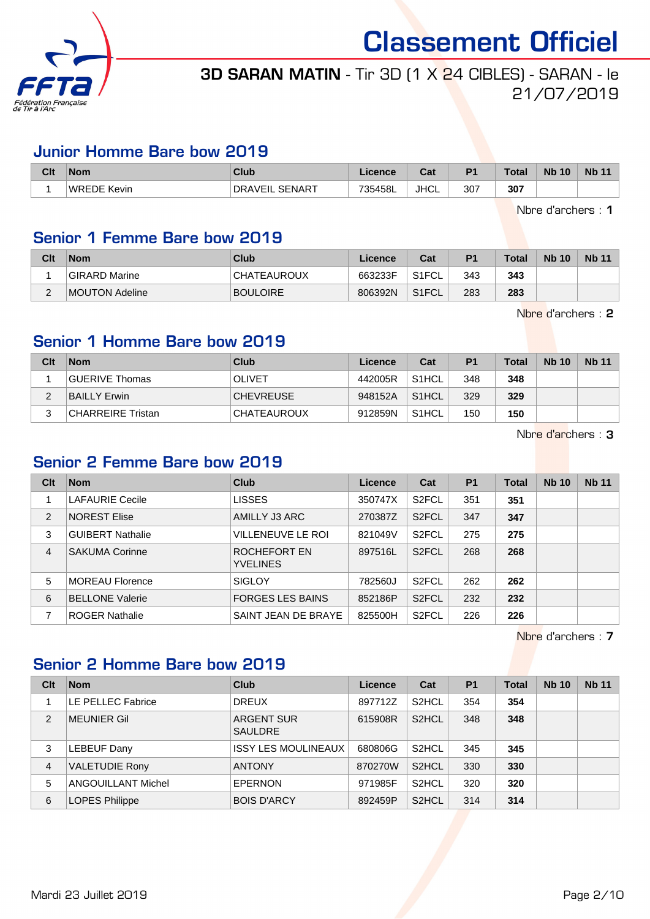

## 3D SARAN MATIN - Tir 3D (1 X 24 CIBLES) - SARAN - le 21/07/2019

#### Junior Homme Bare bow 2019

| Clt | <b>Nom</b>  | Club                            | Licence | ו ה<br>⊍d   | D <sub>1</sub> | <b>Total</b> | <b>Nb 10</b> | <b>N<sub>b</sub></b> |
|-----|-------------|---------------------------------|---------|-------------|----------------|--------------|--------------|----------------------|
|     | WREDE Kevin | <b>SENART</b><br><b>DRAVEIL</b> | 735458L | <b>JHCL</b> | 307            | 307          |              |                      |

Nbre d'archers : 1

### Senior 1 Femme Bare bow 2019

| Clt             | <b>Nom</b>     | Club            | Licence | Cat                | P <sub>1</sub> | <b>Total</b> | <b>Nb</b> 10 | <b>Nb 11</b> |
|-----------------|----------------|-----------------|---------|--------------------|----------------|--------------|--------------|--------------|
|                 | GIRARD Marine  | CHATEAUROUX     | 663233F | S1FCL              | 343            | 343          |              |              |
| $\sqrt{2}$<br>L | MOUTON Adeline | <b>BOULOIRE</b> | 806392N | S <sub>1</sub> FCL | 283            | 283          |              |              |

Nbre d'archers : 2

#### Senior 1 Homme Bare bow 2019

| Clt | <b>Nom</b>        | Club               | Licence | Cat                | P <sub>1</sub> | <b>Total</b> | <b>Nb 10</b> | <b>Nb 11</b> |
|-----|-------------------|--------------------|---------|--------------------|----------------|--------------|--------------|--------------|
|     | GUERIVE Thomas    | <b>OLIVET</b>      | 442005R | S <sub>1</sub> HCL | 348            | 348          |              |              |
| ⌒   | BAILLY Erwin      | <b>CHEVREUSE</b>   | 948152A | S <sub>1</sub> HCL | 329            | 329          |              |              |
| ົ   | CHARREIRE Tristan | <b>CHATEAUROUX</b> | 912859N | S <sub>1</sub> HCL | 150            | 150          |              |              |

Nbre d'archers : 3

#### Senior 2 Femme Bare bow 2019

| Clt            | <b>Nom</b>              | Club                            | Licence | Cat                | P <sub>1</sub> | <b>Total</b> | <b>Nb 10</b> | <b>Nb 11</b> |
|----------------|-------------------------|---------------------------------|---------|--------------------|----------------|--------------|--------------|--------------|
|                | <b>LAFAURIE Cecile</b>  | <b>LISSES</b>                   | 350747X | S <sub>2</sub> FCL | 351            | 351          |              |              |
| 2              | <b>NOREST Elise</b>     | AMILLY J3 ARC                   | 270387Z | S <sub>2</sub> FCL | 347            | 347          |              |              |
| 3              | <b>GUIBERT Nathalie</b> | VILLENEUVE LE ROI               | 821049V | S <sub>2</sub> FCL | 275            | 275          |              |              |
| $\overline{4}$ | <b>SAKUMA Corinne</b>   | ROCHEFORT EN<br><b>YVELINES</b> | 897516L | S <sub>2</sub> FCL | 268            | 268          |              |              |
| 5              | <b>MOREAU Florence</b>  | <b>SIGLOY</b>                   | 782560J | S <sub>2</sub> FCL | 262            | 262          |              |              |
| 6              | <b>BELLONE Valerie</b>  | <b>FORGES LES BAINS</b>         | 852186P | S <sub>2</sub> FCL | 232            | 232          |              |              |
|                | <b>ROGER Nathalie</b>   | SAINT JEAN DE BRAYE             | 825500H | S <sub>2</sub> FCL | 226            | 226          |              |              |

Nbre d'archers : 7

#### Senior 2 Homme Bare bow 2019

| Clt           | <b>Nom</b>            | Club                                | Licence | Cat                | <b>P1</b> | Total | <b>Nb 10</b> | <b>Nb 11</b> |
|---------------|-----------------------|-------------------------------------|---------|--------------------|-----------|-------|--------------|--------------|
|               | LE PELLEC Fabrice     | <b>DREUX</b>                        | 897712Z | S <sub>2</sub> HCL | 354       | 354   |              |              |
| $\mathcal{P}$ | <b>MEUNIER Gil</b>    | <b>ARGENT SUR</b><br><b>SAULDRE</b> | 615908R | S <sub>2</sub> HCL | 348       | 348   |              |              |
| 3             | LEBEUF Dany           | <b>ISSY LES MOULINEAUX</b>          | 680806G | S <sub>2</sub> HCL | 345       | 345   |              |              |
| 4             | <b>VALETUDIE Rony</b> | <b>ANTONY</b>                       | 870270W | S <sub>2</sub> HCL | 330       | 330   |              |              |
| 5             | ANGOUILLANT Michel    | <b>EPERNON</b>                      | 971985F | S <sub>2</sub> HCL | 320       | 320   |              |              |
| 6             | <b>LOPES Philippe</b> | <b>BOIS D'ARCY</b>                  | 892459P | S <sub>2</sub> HCL | 314       | 314   |              |              |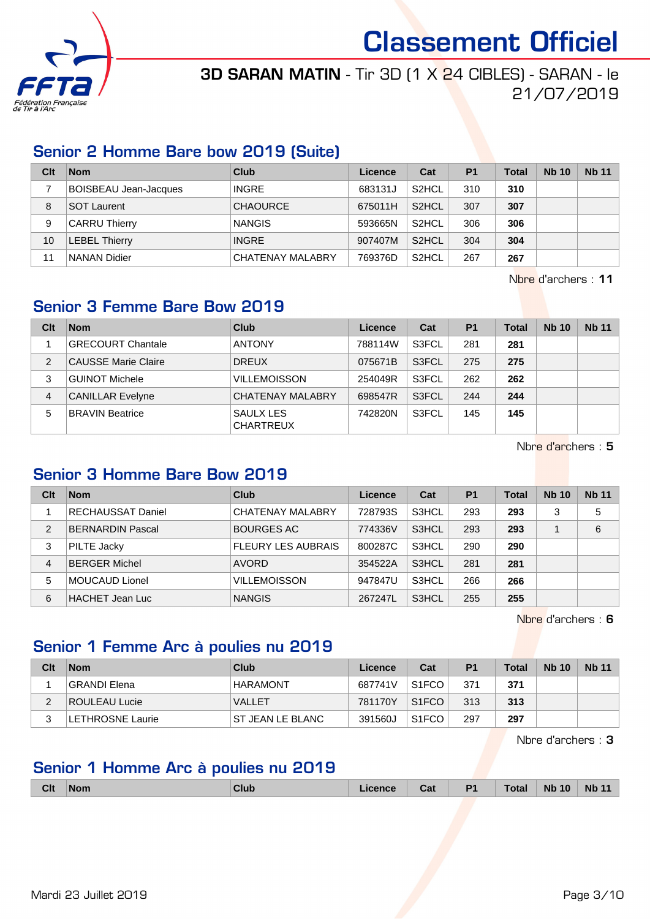

## 3D SARAN MATIN - Tir 3D (1 X 24 CIBLES) - SARAN - le 21/07/2019

#### Senior 2 Homme Bare bow 2019 (Suite)

| Clt | <b>Nom</b>                   | <b>Club</b>             | Licence | Cat                | P <sub>1</sub> | <b>Total</b> | <b>Nb 10</b> | <b>Nb 11</b> |
|-----|------------------------------|-------------------------|---------|--------------------|----------------|--------------|--------------|--------------|
|     | <b>BOISBEAU Jean-Jacques</b> | <b>INGRE</b>            | 683131J | S <sub>2</sub> HCL | 310            | 310          |              |              |
| 8   | SOT Laurent                  | <b>CHAOURCE</b>         | 675011H | S <sub>2</sub> HCL | 307            | 307          |              |              |
| 9   | <b>CARRU Thierry</b>         | <b>NANGIS</b>           | 593665N | S <sub>2</sub> HCL | 306            | 306          |              |              |
| 10  | <b>LEBEL Thierry</b>         | <b>INGRE</b>            | 907407M | S <sub>2</sub> HCL | 304            | 304          |              |              |
| 11  | NANAN Didier                 | <b>CHATENAY MALABRY</b> | 769376D | S <sub>2</sub> HCL | 267            | 267          |              |              |

Nbre d'archers : 11

## Senior 3 Femme Bare Bow 2019

| Clt | <b>Nom</b>                  | Club                          | Licence | Cat          | P <sub>1</sub> | <b>Total</b> | <b>Nb 10</b> | <b>Nb 11</b> |
|-----|-----------------------------|-------------------------------|---------|--------------|----------------|--------------|--------------|--------------|
|     | <b>GRECOURT Chantale</b>    | <b>ANTONY</b>                 | 788114W | S3FCL        | 281            | 281          |              |              |
| 2   | <b>CAUSSE Marie Claire</b>  | <b>DREUX</b>                  | 075671B | S3FCL        | 275            | 275          |              |              |
| 3   | <sup>1</sup> GUINOT Michele | <b>VILLEMOISSON</b>           | 254049R | S3FCL        | 262            | 262          |              |              |
| 4   | <b>CANILLAR Evelyne</b>     | <b>CHATENAY MALABRY</b>       | 698547R | <b>S3FCL</b> | 244            | 244          |              |              |
| 5   | <b>BRAVIN Beatrice</b>      | SAULX LES<br><b>CHARTREUX</b> | 742820N | S3FCL        | 145            | 145          |              |              |

Nbre d'archers : 5

### Senior 3 Homme Bare Bow 2019

| Clt            | <b>Nom</b>               | Club                      | Licence | Cat   | P <sub>1</sub> | Total | <b>Nb 10</b> | <b>Nb 11</b> |
|----------------|--------------------------|---------------------------|---------|-------|----------------|-------|--------------|--------------|
|                | <b>RECHAUSSAT Daniel</b> | <b>CHATENAY MALABRY</b>   | 728793S | S3HCL | 293            | 293   | 3            | 5            |
| $\overline{2}$ | <b>BERNARDIN Pascal</b>  | <b>BOURGES AC</b>         | 774336V | S3HCL | 293            | 293   |              | 6            |
| 3              | <b>PILTE Jacky</b>       | <b>FLEURY LES AUBRAIS</b> | 800287C | S3HCL | 290            | 290   |              |              |
| 4              | <b>BERGER Michel</b>     | <b>AVORD</b>              | 354522A | S3HCL | 281            | 281   |              |              |
| 5              | MOUCAUD Lionel           | <b>VILLEMOISSON</b>       | 947847U | S3HCL | 266            | 266   |              |              |
| 6              | <b>HACHET Jean Luc</b>   | <b>NANGIS</b>             | 267247L | S3HCL | 255            | 255   |              |              |

Nbre d'archers : 6

### Senior 1 Femme Arc à poulies nu 2019

| Clt | <b>Nom</b>       | Club              | Licence | Cat                | P <sub>1</sub> | <b>Total</b> | <b>Nb 10</b> | <b>Nb 11</b> |
|-----|------------------|-------------------|---------|--------------------|----------------|--------------|--------------|--------------|
|     | GRANDI Elena     | HARAMONT          | 687741V | S <sub>1</sub> FCO | 371            | 371          |              |              |
| c   | ROULEAU Lucie    | <b>VALLET</b>     | 781170Y | S <sub>1</sub> FCO | 313            | 313          |              |              |
|     | LETHROSNE Laurie | IST JEAN LE BLANC | 391560J | S <sub>1</sub> FCO | 297            | 297          |              |              |

Nbre d'archers : 3

### Senior 1 Homme Arc à poulies nu 2019

|  | <b>Clt</b> | <b>Nom</b> | <b>Club</b> | .icence | Cat | P <sub>1</sub> | <b>Total</b> | <b>Nb 10</b> | <b>Nb 11</b> |
|--|------------|------------|-------------|---------|-----|----------------|--------------|--------------|--------------|
|--|------------|------------|-------------|---------|-----|----------------|--------------|--------------|--------------|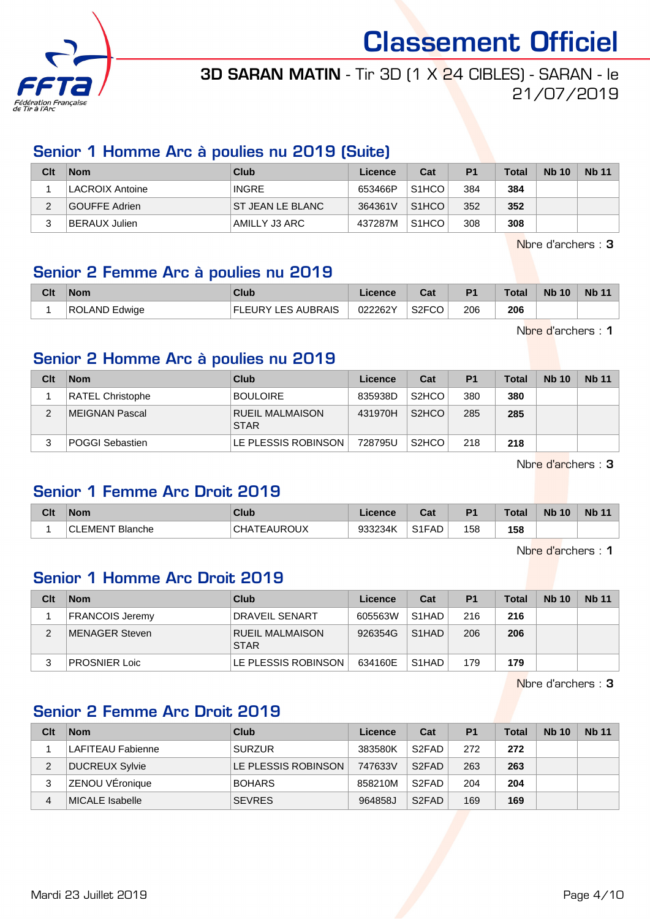

## 3D SARAN MATIN - Tir 3D (1 X 24 CIBLES) - SARAN - le 21/07/2019

#### Senior 1 Homme Arc à poulies nu 2019 (Suite)

| Clt | <b>Nom</b>      | Club              | Licence | Cat                | P <sub>1</sub> | <b>Total</b> | <b>Nb 10</b> | <b>Nb</b> 11 |
|-----|-----------------|-------------------|---------|--------------------|----------------|--------------|--------------|--------------|
|     | LACROIX Antoine | <b>INGRE</b>      | 653466P | S <sub>1</sub> HCO | 384            | 384          |              |              |
|     | GOUFFE Adrien   | IST JEAN LE BLANC | 364361V | S <sub>1</sub> HCO | 352            | 352          |              |              |
|     | BERAUX Julien   | AMILLY J3 ARC     | 437287M | S <sub>1</sub> HCO | 308            | 308          |              |              |

Nbre d'archers : 3

### Senior 2 Femme Arc à poulies nu 2019

| Clt | <b>Nom</b>    | Club                      | .icence | ่ ี่ ี่ ่า ่<br>uai | P <sub>1</sub> | <b>Total</b> | <b>Nb 10</b> | <b>Nb 11</b> |
|-----|---------------|---------------------------|---------|---------------------|----------------|--------------|--------------|--------------|
|     | ROLAND Edwige | <b>FLEURY LES AUBRAIS</b> | 022262Y | S <sub>2</sub> FCO  | 206            | 206          |              |              |

Nbre d'archers : 1

#### Senior 2 Homme Arc à poulies nu 2019

| Clt | <b>Nom</b>              | Club                           | Licence | Cat                | P <sub>1</sub> | <b>Total</b> | <b>Nb 10</b> | <b>Nb</b> 11 |
|-----|-------------------------|--------------------------------|---------|--------------------|----------------|--------------|--------------|--------------|
|     | <b>RATEL Christophe</b> | <b>BOULOIRE</b>                | 835938D | S <sub>2</sub> HCO | 380            | 380          |              |              |
|     | MEIGNAN Pascal          | RUEIL MALMAISON<br><b>STAR</b> | 431970H | S <sub>2</sub> HCO | 285            | 285          |              |              |
|     | <b>POGGI Sebastien</b>  | LE PLESSIS ROBINSON            | 728795U | S <sub>2</sub> HCO | 218            | 218          |              |              |

Nbre d'archers : 3

#### Senior 1 Femme Arc Droit 2019

| Clt | <b>Nom</b>        | <b>Club</b>                            | Licence | $R_{\rm{eff}}$<br>ual          | P <sub>1</sub> | <b>Total</b> | <b>Nb 10</b> | <b>Nb 11</b> |
|-----|-------------------|----------------------------------------|---------|--------------------------------|----------------|--------------|--------------|--------------|
|     | LEMENT<br>Blanche | <b>EAUROUX</b><br>$\cap$ H $\triangle$ | 933234K | S <sub>1</sub> F <sub>AD</sub> | 158            | 158          |              |              |

Nbre d'archers : 1

#### Senior 1 Homme Arc Droit 2019

| Clt | <b>Nom</b>           | Club                           | Licence | Cat                | P <sub>1</sub> | <b>Total</b> | <b>Nb 10</b> | <b>Nb</b> 11 |
|-----|----------------------|--------------------------------|---------|--------------------|----------------|--------------|--------------|--------------|
|     | FRANCOIS Jeremy      | <b>DRAVEIL SENART</b>          | 605563W | S <sub>1</sub> HAD | 216            | 216          |              |              |
|     | MENAGER Steven       | RUEIL MALMAISON<br><b>STAR</b> | 926354G | S <sub>1</sub> HAD | 206            | 206          |              |              |
|     | <b>PROSNIER Loic</b> | LE PLESSIS ROBINSON            | 634160E | S <sub>1</sub> HAD | 179            | 179          |              |              |

Nbre d'archers : 3

#### Senior 2 Femme Arc Droit 2019

| Clt | <b>Nom</b>        | Club                | Licence | Cat                | P <sub>1</sub> | <b>Total</b> | <b>Nb 10</b> | <b>Nb 11</b> |
|-----|-------------------|---------------------|---------|--------------------|----------------|--------------|--------------|--------------|
|     | LAFITEAU Fabienne | <b>SURZUR</b>       | 383580K | S <sub>2</sub> FAD | 272            | 272          |              |              |
| 2   | DUCREUX Sylvie    | LE PLESSIS ROBINSON | 747633V | S <sub>2</sub> FAD | 263            | 263          |              |              |
| 3   | ZENOU VÉronique   | <b>BOHARS</b>       | 858210M | S <sub>2</sub> FAD | 204            | 204          |              |              |
| 4   | MICALE Isabelle   | <b>SEVRES</b>       | 964858J | S <sub>2</sub> FAD | 169            | 169          |              |              |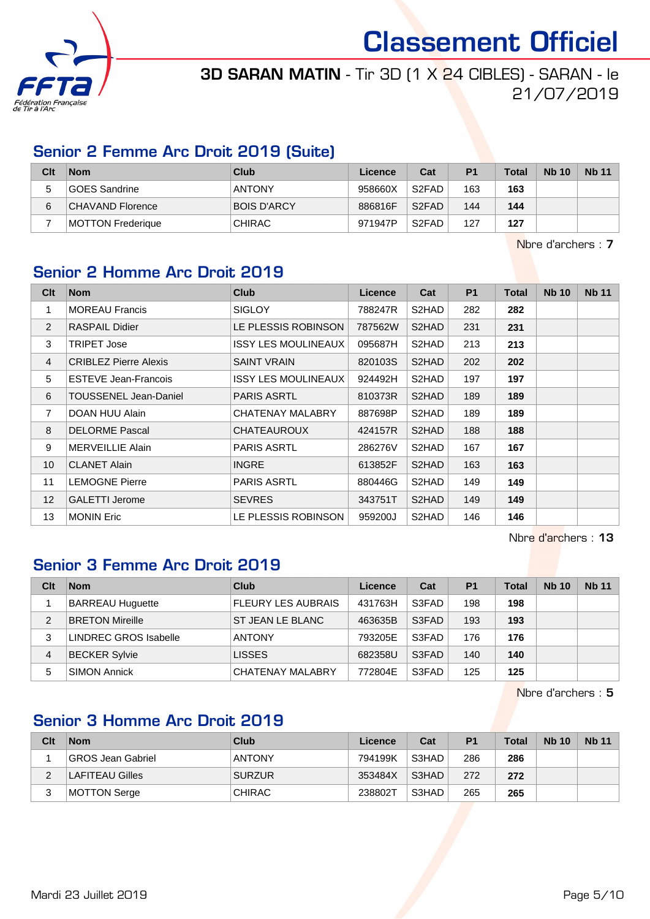

## 3D SARAN MATIN - Tir 3D (1 X 24 CIBLES) - SARAN - le 21/07/2019

#### Senior 2 Femme Arc Droit 2019 (Suite)

| Clt | <b>Nom</b>        | Club               | Licence | Cat                | P <sub>1</sub> | <b>Total</b> | <b>Nb 10</b> | <b>Nb</b> 11 |
|-----|-------------------|--------------------|---------|--------------------|----------------|--------------|--------------|--------------|
| 5   | GOES Sandrine     | <b>ANTONY</b>      | 958660X | S <sub>2</sub> FAD | 163            | 163          |              |              |
| 6   | CHAVAND Florence  | <b>BOIS D'ARCY</b> | 886816F | S <sub>2</sub> FAD | 144            | 144          |              |              |
|     | MOTTON Frederique | <b>CHIRAC</b>      | 971947P | S <sub>2</sub> FAD | 127            | 127          |              |              |

Nbre d'archers : 7

### Senior 2 Homme Arc Droit 2019

| Clt            | <b>Nom</b>                   | <b>Club</b>         | Licence | Cat                | <b>P1</b> | <b>Total</b> | <b>Nb 10</b> | <b>Nb 11</b> |
|----------------|------------------------------|---------------------|---------|--------------------|-----------|--------------|--------------|--------------|
| 1              | <b>MOREAU Francis</b>        | <b>SIGLOY</b>       | 788247R | S2HAD              | 282       | 282          |              |              |
| 2              | <b>RASPAIL Didier</b>        | LE PLESSIS ROBINSON | 787562W | S2HAD              | 231       | 231          |              |              |
| 3              | <b>TRIPET Jose</b>           | ISSY LES MOULINEAUX | 095687H | S2HAD              | 213       | 213          |              |              |
| $\overline{4}$ | <b>CRIBLEZ Pierre Alexis</b> | <b>SAINT VRAIN</b>  | 820103S | S2HAD              | 202       | 202          |              |              |
| 5              | <b>ESTEVE Jean-Francois</b>  | ISSY LES MOULINEAUX | 924492H | S2HAD              | 197       | 197          |              |              |
| 6              | TOUSSENEL Jean-Daniel        | <b>PARIS ASRTL</b>  | 810373R | S2HAD              | 189       | 189          |              |              |
| $\overline{7}$ | DOAN HUU Alain               | CHATENAY MALABRY    | 887698P | S2HAD              | 189       | 189          |              |              |
| 8              | <b>DELORME Pascal</b>        | CHATEAUROUX         | 424157R | S <sub>2</sub> HAD | 188       | 188          |              |              |
| 9              | <b>MERVEILLIE Alain</b>      | <b>PARIS ASRTL</b>  | 286276V | S2HAD              | 167       | 167          |              |              |
| 10             | <b>CLANET Alain</b>          | <b>INGRE</b>        | 613852F | S <sub>2</sub> HAD | 163       | 163          |              |              |
| 11             | <b>LEMOGNE Pierre</b>        | <b>PARIS ASRTL</b>  | 880446G | S2HAD              | 149       | 149          |              |              |
| 12             | <b>GALETTI Jerome</b>        | <b>SEVRES</b>       | 343751T | S <sub>2</sub> HAD | 149       | 149          |              |              |
| 13             | <b>MONIN Eric</b>            | LE PLESSIS ROBINSON | 959200J | S2HAD              | 146       | 146          |              |              |

Nbre d'archers : 13

#### Senior 3 Femme Arc Droit 2019

| Clt | <b>Nom</b>              | Club                      | Licence | Cat   | P <sub>1</sub> | <b>Total</b> | <b>Nb 10</b> | <b>Nb 11</b> |
|-----|-------------------------|---------------------------|---------|-------|----------------|--------------|--------------|--------------|
|     | <b>BARREAU Huguette</b> | <b>FLEURY LES AUBRAIS</b> | 431763H | S3FAD | 198            | 198          |              |              |
| 2   | <b>BRETON Mireille</b>  | ST JEAN LE BLANC          | 463635B | S3FAD | 193            | 193          |              |              |
| 3   | LINDREC GROS Isabelle   | <b>ANTONY</b>             | 793205E | S3FAD | 176            | 176          |              |              |
| 4   | <b>BECKER Sylvie</b>    | <b>LISSES</b>             | 682358U | S3FAD | 140            | 140          |              |              |
| 5   | <b>SIMON Annick</b>     | <b>CHATENAY MALABRY</b>   | 772804E | S3FAD | 125            | 125          |              |              |

Nbre d'archers : 5

### Senior 3 Homme Arc Droit 2019

| Clt | <b>Nom</b>        | Club          | Licence | Cat   | P <sub>1</sub> | <b>Total</b> | <b>Nb 10</b> | <b>Nb</b> 11 |
|-----|-------------------|---------------|---------|-------|----------------|--------------|--------------|--------------|
|     | GROS Jean Gabriel | <b>ANTONY</b> | 794199K | S3HAD | 286            | 286          |              |              |
|     | LAFITEAU Gilles   | <b>SURZUR</b> | 353484X | S3HAD | 272            | 272          |              |              |
| 3   | MOTTON Serge      | <b>CHIRAC</b> | 238802T | S3HAD | 265            | 265          |              |              |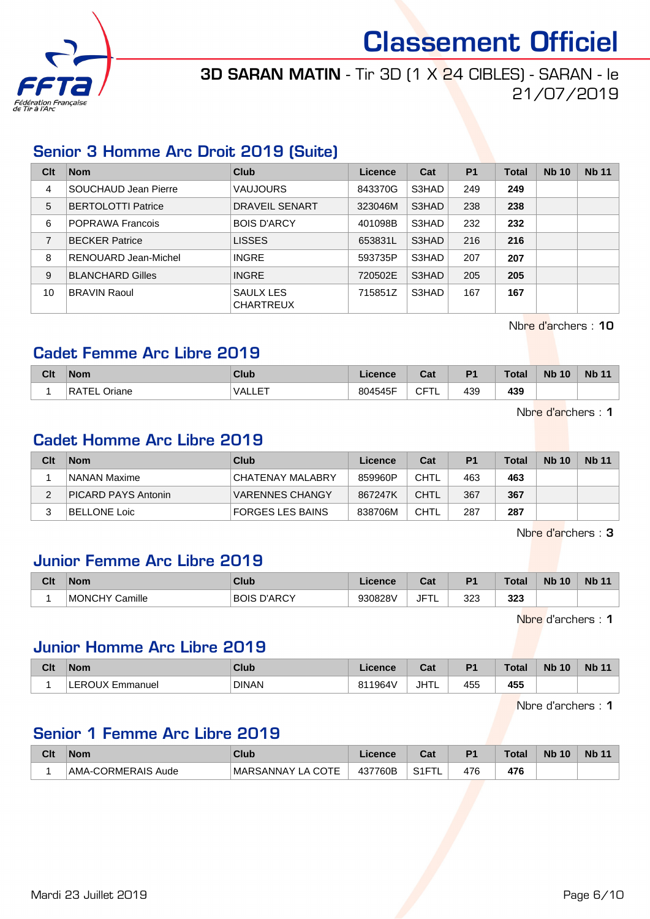

## 3D SARAN MATIN - Tir 3D (1 X 24 CIBLES) - SARAN - le 21/07/2019

#### Senior 3 Homme Arc Droit 2019 (Suite)

| Clt | <b>Nom</b>                | Club                          | Licence | Cat   | <b>P1</b> | <b>Total</b> | <b>Nb 10</b> | <b>Nb 11</b> |
|-----|---------------------------|-------------------------------|---------|-------|-----------|--------------|--------------|--------------|
| 4   | SOUCHAUD Jean Pierre      | <b>VAUJOURS</b>               | 843370G | S3HAD | 249       | 249          |              |              |
| 5   | <b>BERTOLOTTI Patrice</b> | DRAVEIL SENART                | 323046M | S3HAD | 238       | 238          |              |              |
| 6   | <b>POPRAWA Francois</b>   | <b>BOIS D'ARCY</b>            | 401098B | S3HAD | 232       | 232          |              |              |
| 7   | <b>BECKER Patrice</b>     | <b>LISSES</b>                 | 653831L | S3HAD | 216       | 216          |              |              |
| 8   | RENOUARD Jean-Michel      | <b>INGRE</b>                  | 593735P | S3HAD | 207       | 207          |              |              |
| 9   | <b>BLANCHARD Gilles</b>   | <b>INGRE</b>                  | 720502E | S3HAD | 205       | 205          |              |              |
| 10  | <b>BRAVIN Raoul</b>       | SAULX LES<br><b>CHARTREUX</b> | 715851Z | S3HAD | 167       | 167          |              |              |

Nbre d'archers : 10

#### Cadet Femme Arc Libre 2019

| Clt | <b>Nom</b>             | Club          | Licence | <b>Cost</b><br>val | P <sub>1</sub> | <b>Total</b> | <b>Nb 10</b> | <b>Nb 11</b> |
|-----|------------------------|---------------|---------|--------------------|----------------|--------------|--------------|--------------|
|     | <b>RATEL</b><br>Oriane | $-$<br>VALLE. | 804545F | ⊥∟<br>◡            | 439            | 439          |              |              |

Nbre d'archers : 1

#### Cadet Homme Arc Libre 2019

| Clt | <b>Nom</b>          | Club                    | Licence | Cat         | P <sub>1</sub> | <b>Total</b> | <b>Nb 10</b> | <b>Nb 11</b> |
|-----|---------------------|-------------------------|---------|-------------|----------------|--------------|--------------|--------------|
|     | NANAN Maxime        | CHATENAY MALABRY        | 859960P | CHTL        | 463            | 463          |              |              |
|     | PICARD PAYS Antonin | <b>VARENNES CHANGY</b>  | 867247K | <b>CHTL</b> | 367            | 367          |              |              |
|     | BELLONE Loic        | <b>FORGES LES BAINS</b> | 838706M | CHTL        | 287            | 287          |              |              |

Nbre d'archers : 3

#### Junior Femme Arc Libre 2019

| Clt | <b>Nom</b>     | <b>Club</b>           | Licence | <b>The State</b><br>udl | D <sub>4</sub> | Total | <b>Nb</b><br>10 | <b>Nb 11</b> |
|-----|----------------|-----------------------|---------|-------------------------|----------------|-------|-----------------|--------------|
|     | MONCHY Camille | D'ARCY<br><b>BOIS</b> | 930828V | $JF^{\tau}$<br>. .      | つつつ<br>ں∠ت     | 323   |                 |              |

Nbre d'archers : 1

#### Junior Homme Arc Libre 2019

| Clt | <b>Nom</b>      | Club         | Licence | <b>Take</b><br>ual | D <sub>1</sub> | Total | <b>N<sub>b</sub></b><br>10 | <b>Nb 11</b> |
|-----|-----------------|--------------|---------|--------------------|----------------|-------|----------------------------|--------------|
|     | Emmanuel<br>וונ | <b>DINAN</b> | 811964\ | JHTL               | 455            | 455   |                            |              |

Nbre d'archers : 1

#### Senior 1 Femme Arc Libre 2019

| Clt | <b>Nom</b>         | Club                      | Licence | ∩^*<br>udu | P <sub>1</sub> | <b>Total</b> | <b>Nb 10</b> | <b>Nb 11</b> |
|-----|--------------------|---------------------------|---------|------------|----------------|--------------|--------------|--------------|
|     | AMA-CORMERAIS Aude | <b>IMARSANNAY LA COTE</b> | 437760B | S1FT       | 476            | 476          |              |              |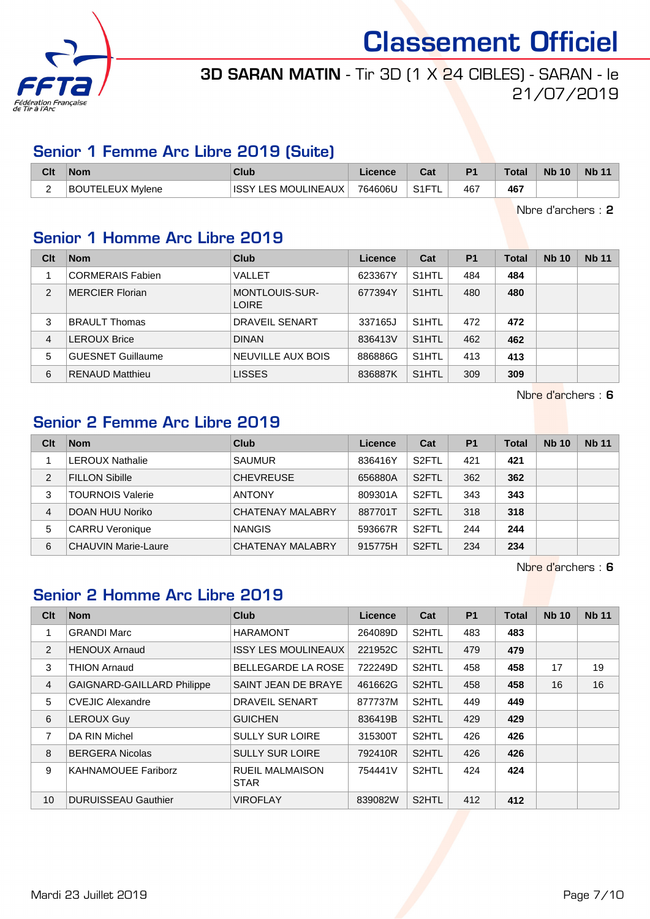

## 3D SARAN MATIN - Tir 3D (1 X 24 CIBLES) - SARAN - le 21/07/2019

#### Senior 1 Femme Arc Libre 2019 (Suite)

| Clt | <b>Nom</b>       | Club                            | Licence | ו ה<br>uai         | D <sub>1</sub> | Total | <b>Nb 10</b> | Nb 11 |
|-----|------------------|---------------------------------|---------|--------------------|----------------|-------|--------------|-------|
|     | BOUTELEUX Mylene | LES MOULINEAUX<br><b>ISSY L</b> | 764606U | S <sub>1</sub> FTI | 467            | 467   |              |       |

Nbre d'archers : 2

### Senior 1 Homme Arc Libre 2019

| Clt            | <b>Nom</b>               | Club                                  | Licence | Cat                | P <sub>1</sub> | Total | <b>Nb 10</b> | <b>Nb 11</b> |
|----------------|--------------------------|---------------------------------------|---------|--------------------|----------------|-------|--------------|--------------|
|                | <b>CORMERAIS Fabien</b>  | VALLET                                | 623367Y | S <sub>1</sub> HTL | 484            | 484   |              |              |
| 2              | <b>MERCIER Florian</b>   | <b>MONTLOUIS-SUR-</b><br><b>LOIRE</b> | 677394Y | S <sub>1</sub> HTL | 480            | 480   |              |              |
| 3              | <b>BRAULT Thomas</b>     | DRAVEIL SENART                        | 337165J | S <sub>1</sub> HTL | 472            | 472   |              |              |
| $\overline{4}$ | <b>LEROUX Brice</b>      | <b>DINAN</b>                          | 836413V | S <sub>1</sub> HTL | 462            | 462   |              |              |
| 5              | <b>GUESNET Guillaume</b> | NEUVILLE AUX BOIS                     | 886886G | S <sub>1</sub> HTL | 413            | 413   |              |              |
| 6              | <b>RENAUD Matthieu</b>   | <b>LISSES</b>                         | 836887K | S <sub>1</sub> HTL | 309            | 309   |              |              |

Nbre d'archers : 6

### Senior 2 Femme Arc Libre 2019

| Clt            | <b>Nom</b>                 | Club                    | Licence | Cat                | <b>P1</b> | Total | <b>Nb 10</b> | <b>Nb 11</b> |
|----------------|----------------------------|-------------------------|---------|--------------------|-----------|-------|--------------|--------------|
|                | LEROUX Nathalie            | <b>SAUMUR</b>           | 836416Y | S <sub>2</sub> FTL | 421       | 421   |              |              |
| $\overline{2}$ | <b>FILLON Sibille</b>      | <b>CHEVREUSE</b>        | 656880A | S <sub>2</sub> FTL | 362       | 362   |              |              |
| 3              | <b>TOURNOIS Valerie</b>    | <b>ANTONY</b>           | 809301A | S <sub>2</sub> FTL | 343       | 343   |              |              |
| 4              | DOAN HUU Noriko            | <b>CHATENAY MALABRY</b> | 887701T | S <sub>2</sub> FTL | 318       | 318   |              |              |
| 5              | <b>CARRU Veronique</b>     | <b>NANGIS</b>           | 593667R | S <sub>2</sub> FTL | 244       | 244   |              |              |
| 6              | <b>CHAUVIN Marie-Laure</b> | <b>CHATENAY MALABRY</b> | 915775H | S <sub>2</sub> FTL | 234       | 234   |              |              |

Nbre d'archers : 6

## Senior 2 Homme Arc Libre 2019

| C <sub>lt</sub> | <b>Nom</b>                        | <b>Club</b>                           | Licence | Cat                | <b>P1</b> | <b>Total</b> | <b>Nb 10</b> | <b>Nb 11</b> |
|-----------------|-----------------------------------|---------------------------------------|---------|--------------------|-----------|--------------|--------------|--------------|
| 1               | <b>GRANDI Marc</b>                | <b>HARAMONT</b>                       | 264089D | S2HTL              | 483       | 483          |              |              |
| $\overline{2}$  | <b>HENOUX Arnaud</b>              | <b>ISSY LES MOULINEAUX</b>            | 221952C | S <sub>2</sub> HTL | 479       | 479          |              |              |
| 3               | <b>THION Arnaud</b>               | <b>BELLEGARDE LA ROSE</b>             | 722249D | S2HTL              | 458       | 458          | 17           | 19           |
| $\overline{4}$  | <b>GAIGNARD-GAILLARD Philippe</b> | SAINT JEAN DE BRAYE                   | 461662G | S <sub>2</sub> HTL | 458       | 458          | 16           | 16           |
| 5               | <b>CVEJIC Alexandre</b>           | <b>DRAVEIL SENART</b>                 | 877737M | S2HTL              | 449       | 449          |              |              |
| 6               | <b>LEROUX Guy</b>                 | <b>GUICHEN</b>                        | 836419B | S <sub>2</sub> HTL | 429       | 429          |              |              |
| $\overline{7}$  | DA RIN Michel                     | <b>SULLY SUR LOIRE</b>                | 315300T | S2HTL              | 426       | 426          |              |              |
| 8               | <b>BERGERA Nicolas</b>            | <b>SULLY SUR LOIRE</b>                | 792410R | S <sub>2</sub> HTL | 426       | 426          |              |              |
| 9               | <b>KAHNAMOUEE Fariborz</b>        | <b>RUEIL MALMAISON</b><br><b>STAR</b> | 754441V | S <sub>2</sub> HTL | 424       | 424          |              |              |
| 10              | <b>DURUISSEAU Gauthier</b>        | <b>VIROFLAY</b>                       | 839082W | S <sub>2</sub> HTL | 412       | 412          |              |              |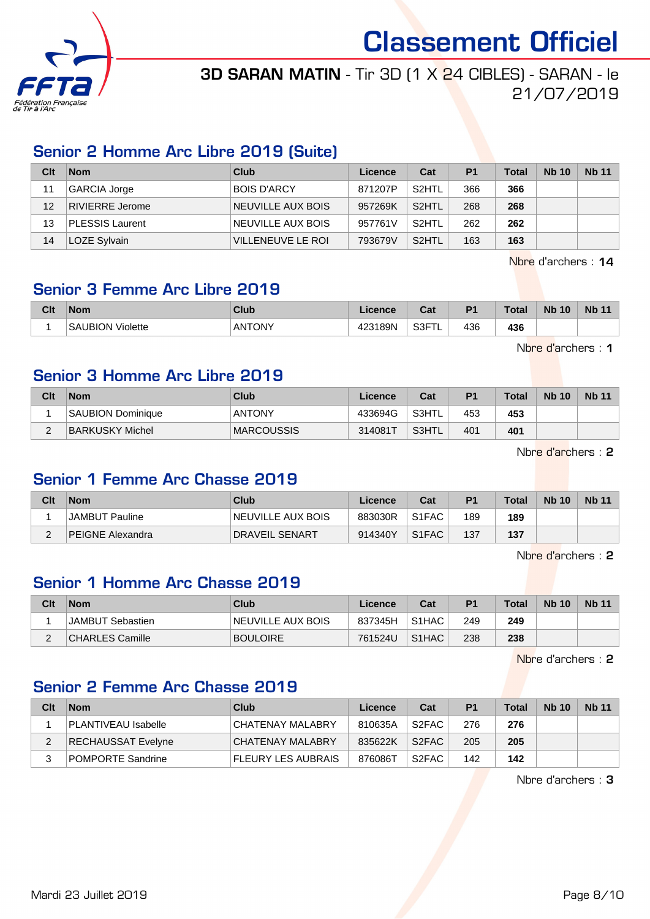

## 3D SARAN MATIN - Tir 3D (1 X 24 CIBLES) - SARAN - le 21/07/2019

#### Senior 2 Homme Arc Libre 2019 (Suite)

| Clt | <b>Nom</b>             | Club               | Licence | Cat                | P <sub>1</sub> | <b>Total</b> | <b>Nb 10</b> | <b>Nb 11</b> |
|-----|------------------------|--------------------|---------|--------------------|----------------|--------------|--------------|--------------|
| 11  | GARCIA Jorge           | <b>BOIS D'ARCY</b> | 871207P | S <sub>2</sub> HTL | 366            | 366          |              |              |
| 12  | RIVIERRE Jerome        | NEUVILLE AUX BOIS  | 957269K | S <sub>2</sub> HTL | 268            | 268          |              |              |
| 13  | <b>PLESSIS Laurent</b> | NEUVILLE AUX BOIS  | 957761V | S <sub>2</sub> HTL | 262            | 262          |              |              |
| 14  | LOZE Sylvain           | VILLENEUVE LE ROI  | 793679V | S <sub>2</sub> HTL | 163            | 163          |              |              |

Nbre d'archers : 14

### Senior 3 Femme Arc Libre 2019

| Clt | <b>Nom</b>                  | <b>Club</b>   | .icence           | ◠_,<br>cal | D <sup>+</sup> | <b>Total</b> | <b>N<sub>b</sub></b><br>10 | <b>Nb 11</b> |
|-----|-----------------------------|---------------|-------------------|------------|----------------|--------------|----------------------------|--------------|
|     | 'Violette<br><b>SAUBION</b> | <b>ANTONY</b> | 123189N<br>$\sim$ | S3FT       | 436            | 436          |                            |              |

Nbre d'archers : 1

#### Senior 3 Homme Arc Libre 2019

| Clt    | <b>Nom</b>               | Club              | Licence | Cat   | P <sub>1</sub> | <b>Total</b> | <b>Nb 10</b> | <b>Nb 11</b> |
|--------|--------------------------|-------------------|---------|-------|----------------|--------------|--------------|--------------|
|        | <b>SAUBION Dominique</b> | <b>ANTONY</b>     | 433694G | S3HTL | 453            | 453          |              |              |
| $\sim$ | BARKUSKY Michel          | <b>MARCOUSSIS</b> | 314081T | S3HTL | 401            | 401          |              |              |

Nbre d'archers : 2

#### Senior 1 Femme Arc Chasse 2019

| Clt | <b>Nom</b>              | Club              | Licence | Cat                | P <sub>1</sub> | <b>Total</b> | <b>Nb 10</b> | <b>Nb 11</b> |
|-----|-------------------------|-------------------|---------|--------------------|----------------|--------------|--------------|--------------|
|     | <b>JAMBUT Pauline</b>   | NEUVILLE AUX BOIS | 883030R | S <sub>1</sub> FAC | 189            | 189          |              |              |
|     | <b>PEIGNE Alexandra</b> | I DRAVEIL SENART  | 914340Y | S <sub>1</sub> FAC | 137            | 137          |              |              |

Nbre d'archers : 2

## Senior 1 Homme Arc Chasse 2019

| Clt      | <b>Nom</b>       | Club              | Licence | Cat                | P <sub>1</sub> | <b>Total</b> | <b>Nb 10</b> | <b>Nb 11</b> |
|----------|------------------|-------------------|---------|--------------------|----------------|--------------|--------------|--------------|
|          | JAMBUT Sebastien | NEUVILLE AUX BOIS | 837345H | S <sub>1</sub> HAC | 249            | 249          |              |              |
| <u>.</u> | CHARLES Camille  | <b>BOULOIRE</b>   | 761524U | S <sub>1</sub> HAC | 238            | 238          |              |              |

Nbre d'archers : 2

#### Senior 2 Femme Arc Chasse 2019

| Clt | <b>Nom</b>               | Club               | Licence | Cat                | P <sub>1</sub> | <b>Total</b> | <b>Nb 10</b> | <b>Nb 11</b> |
|-----|--------------------------|--------------------|---------|--------------------|----------------|--------------|--------------|--------------|
|     | PLANTIVEAU Isabelle      | CHATENAY MALABRY   | 810635A | S2FAC              | 276            | 276          |              |              |
|     | RECHAUSSAT Evelyne       | CHATENAY MALABRY   | 835622K | S <sub>2</sub> FAC | 205            | 205          |              |              |
|     | <b>POMPORTE Sandrine</b> | FLEURY LES AUBRAIS | 876086T | S2FAC              | 142            | 142          |              |              |

Nbre d'archers : 3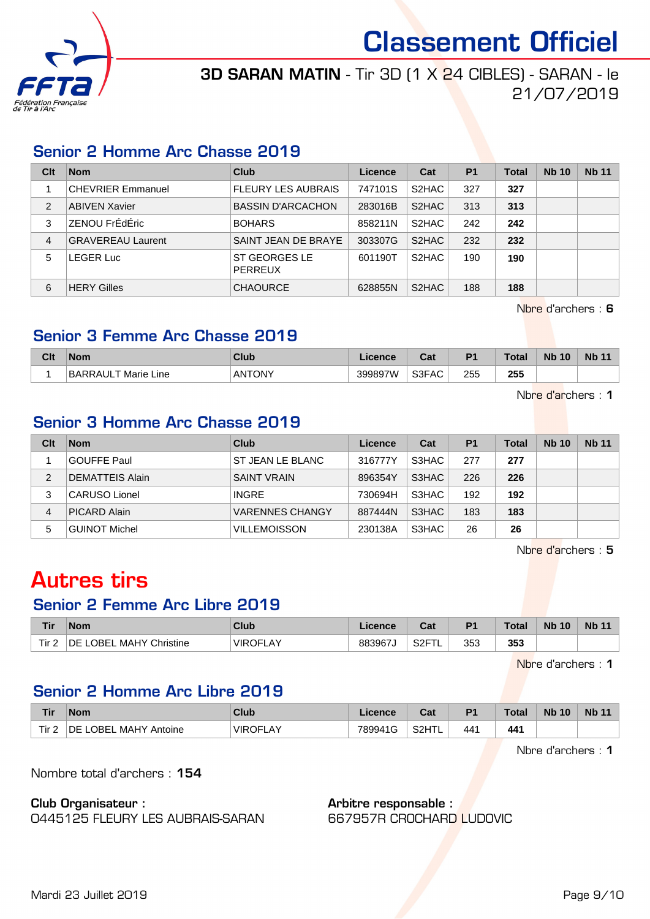

### 3D SARAN MATIN - Tir 3D (1 X 24 CIBLES) - SARAN - le 21/07/2019

#### Senior 2 Homme Arc Chasse 2019

| Clt            | <b>Nom</b>               | Club                      | Licence | Cat                | P <sub>1</sub> | <b>Total</b> | <b>Nb 10</b> | <b>Nb 11</b> |
|----------------|--------------------------|---------------------------|---------|--------------------|----------------|--------------|--------------|--------------|
|                | <b>CHEVRIER Emmanuel</b> | <b>FLEURY LES AUBRAIS</b> | 747101S | S <sub>2</sub> HAC | 327            | 327          |              |              |
| $\overline{2}$ | <b>ABIVEN Xavier</b>     | <b>BASSIN D'ARCACHON</b>  | 283016B | S <sub>2</sub> HAC | 313            | 313          |              |              |
| 3              | ZENOU FrÉdÉric           | <b>BOHARS</b>             | 858211N | S <sub>2</sub> HAC | 242            | 242          |              |              |
| 4              | <b>GRAVEREAU Laurent</b> | SAINT JEAN DE BRAYE       | 303307G | S <sub>2</sub> HAC | 232            | 232          |              |              |
| 5              | <b>LEGER Luc</b>         | ST GEORGES LE<br>PERREUX  | 601190T | S <sub>2</sub> HAC | 190            | 190          |              |              |
| 6              | <b>HERY Gilles</b>       | <b>CHAOURCE</b>           | 628855N | S <sub>2</sub> HAC | 188            | 188          |              |              |

Nbre d'archers : 6

#### Senior 3 Femme Arc Chasse 2019

| Clt | <b>Nom</b>          | Club          | ∟icence | <b>DAL</b><br>uai | D <sub>1</sub> | <b>Total</b> | <b>N<sub>b</sub></b><br>10 | <b>Nb 11</b> |
|-----|---------------------|---------------|---------|-------------------|----------------|--------------|----------------------------|--------------|
|     | BARRAULT Marie Line | <b>ANTONY</b> | 399897W | S3FAC             | 255            | 255<br>- -   |                            |              |

Nbre d'archers : 1

#### Senior 3 Homme Arc Chasse 2019

| Clt | <b>Nom</b>             | Club                | Licence | Cat   | P <sub>1</sub> | <b>Total</b> | <b>Nb 10</b> | <b>Nb 11</b> |
|-----|------------------------|---------------------|---------|-------|----------------|--------------|--------------|--------------|
|     | <b>GOUFFE Paul</b>     | ST JEAN LE BLANC    | 316777Y | S3HAC | 277            | 277          |              |              |
| 2   | <b>DEMATTEIS Alain</b> | <b>SAINT VRAIN</b>  | 896354Y | S3HAC | 226            | 226          |              |              |
| 3   | <b>CARUSO Lionel</b>   | <b>INGRE</b>        | 730694H | S3HAC | 192            | 192          |              |              |
| 4   | PICARD Alain           | VARENNES CHANGY     | 887444N | S3HAC | 183            | 183          |              |              |
| 5   | <b>GUINOT Michel</b>   | <b>VILLEMOISSON</b> | 230138A | S3HAC | 26             | 26           |              |              |

Nbre d'archers : 5

# Autres tirs

#### Senior 2 Femme Arc Libre 2019

| <b>Tir</b>       | <b>Nom</b>                 | Club                 | Licence | <b>Cat</b><br>ual      | P <sub>1</sub> | ™otal | <b>N<sub>b</sub></b><br>10 | <b>Nb 11</b> |
|------------------|----------------------------|----------------------|---------|------------------------|----------------|-------|----------------------------|--------------|
| Tir <sub>2</sub> | ∟OBEL MAHY Christine<br>DE | ™VIRO∟<br>LAY<br>ו⊨ו | 883967J | S <sub>2</sub> FT<br>- | 353            | 353   |                            |              |

Nbre d'archers : 1

#### Senior 2 Homme Arc Libre 2019

| Tir          | <b>Nom</b>                         | <b>Club</b>          | .icence | Cat   | D <sub>1</sub> | Total | <b>Nb 10</b> | <b>Nb 11</b> |
|--------------|------------------------------------|----------------------|---------|-------|----------------|-------|--------------|--------------|
| Tir $\angle$ | <b>MAHY Antoine</b><br>.OBEL<br>DE | <b>VIROFL</b><br>LAY | 789941G | S2HTL | 441            | 441   |              |              |

Nbre d'archers : 1

Nombre total d'archers : 154

Club Organisateur :

0445125 FLEURY LES AUBRAIS-SARAN

#### Arbitre responsable :

667957R CROCHARD LUDOVIC